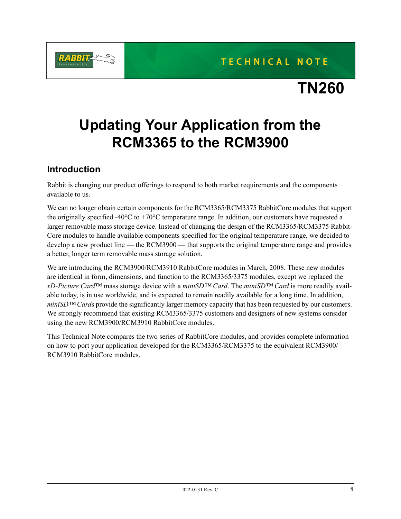

**TECHNICAL NOTE** 

# **Updating Your Application from the RCM3365 to the RCM3900**

# **Introduction**

Rabbit is changing our product offerings to respond to both market requirements and the components available to us.

We can no longer obtain certain components for the RCM3365/RCM3375 RabbitCore modules that support the originally specified -40 $^{\circ}$ C to +70 $^{\circ}$ C temperature range. In addition, our customers have requested a larger removable mass storage device. Instead of changing the design of the RCM3365/RCM3375 Rabbit-Core modules to handle available components specified for the original temperature range, we decided to develop a new product line — the RCM3900 — that supports the original temperature range and provides a better, longer term removable mass storage solution.

We are introducing the RCM3900/RCM3910 RabbitCore modules in March, 2008. These new modules are identical in form, dimensions, and function to the RCM3365/3375 modules, except we replaced the *xD-Picture Card*™ mass storage device with a *miniSD™ Card*. The *miniSD™ Card* is more readily available today, is in use worldwide, and is expected to remain readily available for a long time. In addition, *miniSD™ Cards* provide the significantly larger memory capacity that has been requested by our customers. We strongly recommend that existing RCM3365/3375 customers and designers of new systems consider using the new RCM3900/RCM3910 RabbitCore modules.

This Technical Note compares the two series of RabbitCore modules, and provides complete information on how to port your application developed for the RCM3365/RCM3375 to the equivalent RCM3900/ RCM3910 RabbitCore modules.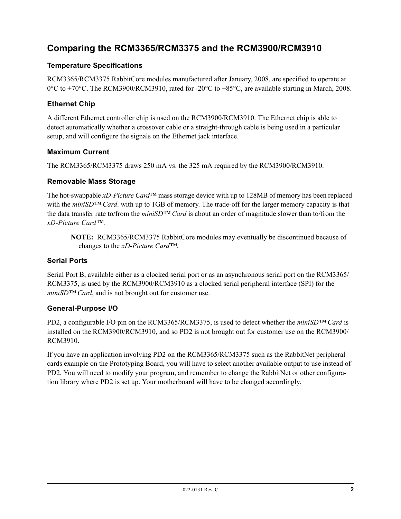# **Comparing the RCM3365/RCM3375 and the RCM3900/RCM3910**

#### **Temperature Specifications**

RCM3365/RCM3375 RabbitCore modules manufactured after January, 2008, are specified to operate at  $0^{\circ}$ C to +70°C. The RCM3900/RCM3910, rated for -20°C to +85°C, are available starting in March, 2008.

#### **Ethernet Chip**

A different Ethernet controller chip is used on the RCM3900/RCM3910. The Ethernet chip is able to detect automatically whether a crossover cable or a straight-through cable is being used in a particular setup, and will configure the signals on the Ethernet jack interface.

#### **Maximum Current**

The RCM3365/RCM3375 draws 250 mA vs. the 325 mA required by the RCM3900/RCM3910.

#### **Removable Mass Storage**

The hot-swappable *xD-Picture Card*™ mass storage device with up to 128MB of memory has been replaced with the *miniSD™ Card*. with up to 1GB of memory. The trade-off for the larger memory capacity is that the data transfer rate to/from the *miniSD™ Card* is about an order of magnitude slower than to/from the *xD-Picture Card™*.

**NOTE:** RCM3365/RCM3375 RabbitCore modules may eventually be discontinued because of changes to the *xD-Picture Card™*.

#### **Serial Ports**

Serial Port B, available either as a clocked serial port or as an asynchronous serial port on the RCM3365/ RCM3375, is used by the RCM3900/RCM3910 as a clocked serial peripheral interface (SPI) for the *miniSD™ Card*, and is not brought out for customer use.

#### **General-Purpose I/O**

PD2, a configurable I/O pin on the RCM3365/RCM3375, is used to detect whether the *miniSD™ Card* is installed on the RCM3900/RCM3910, and so PD2 is not brought out for customer use on the RCM3900/ RCM3910.

If you have an application involving PD2 on the RCM3365/RCM3375 such as the RabbitNet peripheral cards example on the Prototyping Board, you will have to select another available output to use instead of PD2. You will need to modify your program, and remember to change the RabbitNet or other configuration library where PD2 is set up. Your motherboard will have to be changed accordingly.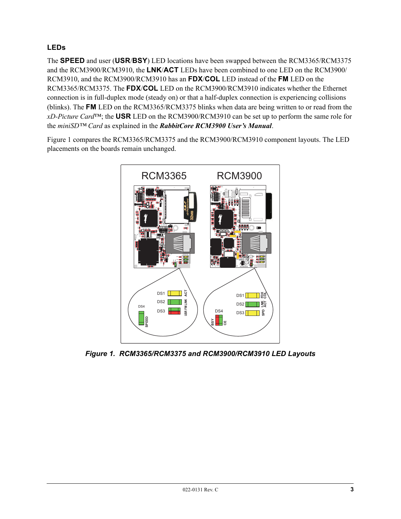## **LEDs**

The **SPEED** and user (**USR**/**BSY**) LED locations have been swapped between the RCM3365/RCM3375 and the RCM3900/RCM3910, the **LNK**/**ACT** LEDs have been combined to one LED on the RCM3900/ RCM3910, and the RCM3900/RCM3910 has an **FDX**/**COL** LED instead of the **FM** LED on the RCM3365/RCM3375. The **FDX**/**COL** LED on the RCM3900/RCM3910 indicates whether the Ethernet connection is in full-duplex mode (steady on) or that a half-duplex connection is experiencing collisions (blinks). The **FM** LED on the RCM3365/RCM3375 blinks when data are being written to or read from the *xD-Picture Card*™; the **USR** LED on the RCM3900/RCM3910 can be set up to perform the same role for the *miniSD™ Card* as explained in the *RabbitCore RCM3900 User's Manual*.

[Figure 1](#page-2-0) compares the RCM3365/RCM3375 and the RCM3900/RCM3910 component layouts. The LED placements on the boards remain unchanged.



<span id="page-2-0"></span>*Figure 1. RCM3365/RCM3375 and RCM3900/RCM3910 LED Layouts*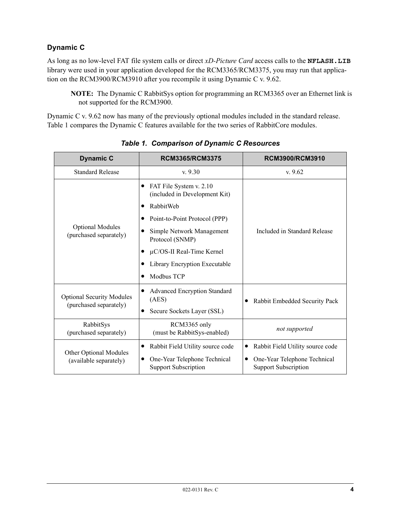## **Dynamic C**

As long as no low-level FAT file system calls or direct *xD-Picture Card* access calls to the **NFLASH.LIB** library were used in your application developed for the RCM3365/RCM3375, you may run that application on the RCM3900/RCM3910 after you recompile it using Dynamic C v. 9.62.

**NOTE:** The Dynamic C RabbitSys option for programming an RCM3365 over an Ethernet link is not supported for the RCM3900.

Dynamic C v. 9.62 now has many of the previously optional modules included in the standard release. [Table 1](#page-2-0) compares the Dynamic C features available for the two series of RabbitCore modules.

| <b>Dynamic C</b>                                           | RCM3365/RCM3375                                                                                                                                                                                                                                      | <b>RCM3900/RCM3910</b>                                                                          |  |
|------------------------------------------------------------|------------------------------------------------------------------------------------------------------------------------------------------------------------------------------------------------------------------------------------------------------|-------------------------------------------------------------------------------------------------|--|
| <b>Standard Release</b>                                    | v.9.30                                                                                                                                                                                                                                               | v.9.62                                                                                          |  |
| <b>Optional Modules</b><br>(purchased separately)          | FAT File System v. 2.10<br>$\bullet$<br>(included in Development Kit)<br>RabbitWeb<br>Point-to-Point Protocol (PPP)<br>Simple Network Management<br>Protocol (SNMP)<br>$\mu$ C/OS-II Real-Time Kernel<br>Library Encryption Executable<br>Modbus TCP | Included in Standard Release                                                                    |  |
| <b>Optional Security Modules</b><br>(purchased separately) | <b>Advanced Encryption Standard</b><br>$\bullet$<br>(AES)<br>Secure Sockets Layer (SSL)                                                                                                                                                              | Rabbit Embedded Security Pack                                                                   |  |
| RabbitSys<br>(purchased separately)                        | RCM3365 only<br>(must be RabbitSys-enabled)                                                                                                                                                                                                          | not supported                                                                                   |  |
| Other Optional Modules<br>(available separately)           | Rabbit Field Utility source code<br>$\bullet$<br>One-Year Telephone Technical<br>٠<br><b>Support Subscription</b>                                                                                                                                    | Rabbit Field Utility source code<br>One-Year Telephone Technical<br><b>Support Subscription</b> |  |

*Table 1. Comparison of Dynamic C Resources*